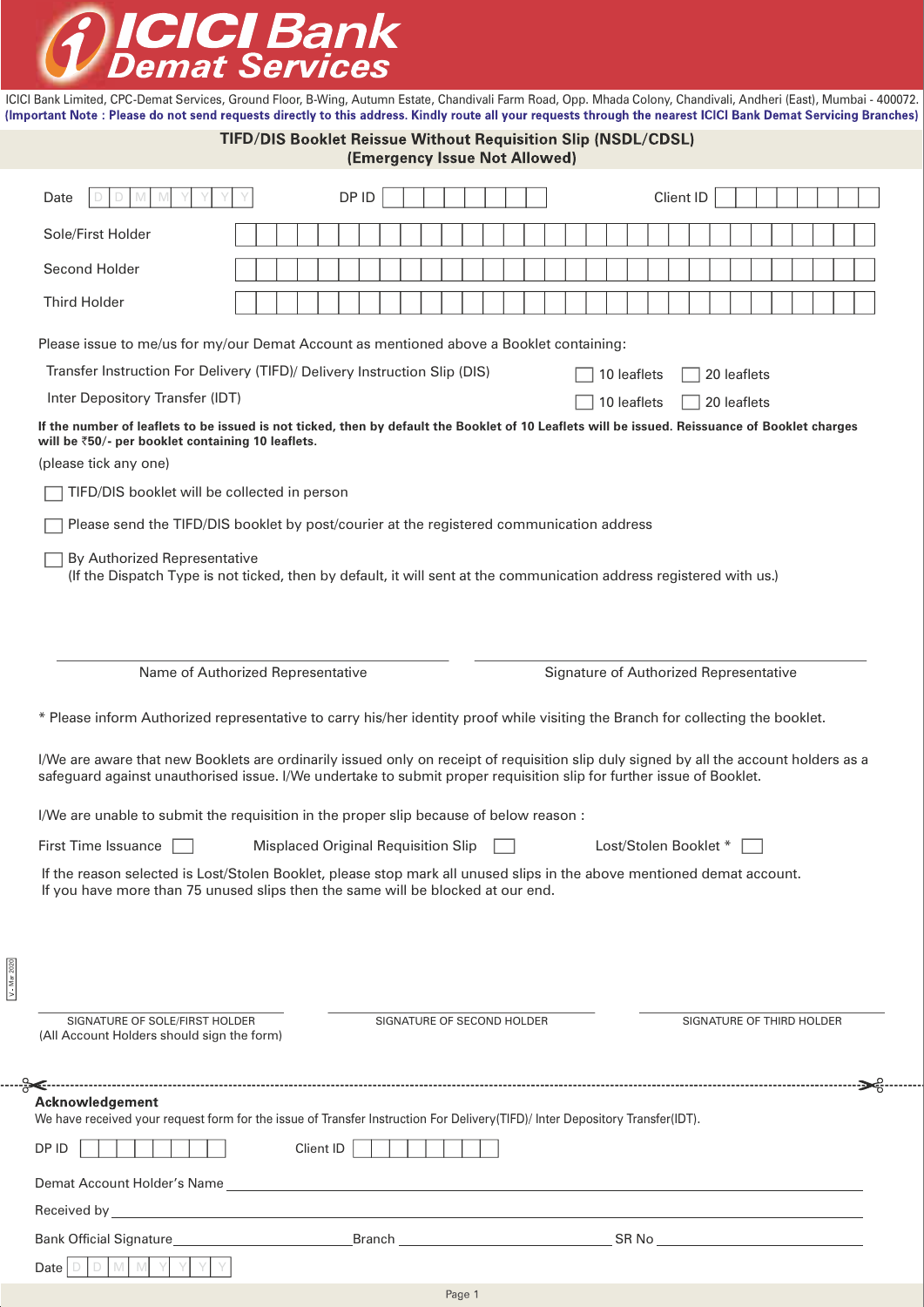

Mar 2020

ICICI Bank Limited, CPC-Demat Services, Ground Floor, B-Wing, Autumn Estate, Chandivali Farm Road, Opp. Mhada Colony, Chandivali, Andheri (East), Mumbai - 400072.<br>(Important Note: Please do not send requests directly to th

|                |                                                                                                                                                                                                                                                                                                                                                                                                   | <b>TIFD/DIS Booklet Reissue Without Requisition Slip (NSDL/CDSL)</b>        | (Emergency Issue Not Allowed)              |                            |                                                                                                                                                                                                                                      |  |
|----------------|---------------------------------------------------------------------------------------------------------------------------------------------------------------------------------------------------------------------------------------------------------------------------------------------------------------------------------------------------------------------------------------------------|-----------------------------------------------------------------------------|--------------------------------------------|----------------------------|--------------------------------------------------------------------------------------------------------------------------------------------------------------------------------------------------------------------------------------|--|
|                | Date<br>D<br>M                                                                                                                                                                                                                                                                                                                                                                                    |                                                                             | DP ID                                      |                            | <b>Client ID</b>                                                                                                                                                                                                                     |  |
|                | Sole/First Holder                                                                                                                                                                                                                                                                                                                                                                                 |                                                                             |                                            |                            |                                                                                                                                                                                                                                      |  |
|                | Second Holder                                                                                                                                                                                                                                                                                                                                                                                     |                                                                             |                                            |                            |                                                                                                                                                                                                                                      |  |
|                | <b>Third Holder</b>                                                                                                                                                                                                                                                                                                                                                                               |                                                                             |                                            |                            |                                                                                                                                                                                                                                      |  |
|                | Please issue to me/us for my/our Demat Account as mentioned above a Booklet containing:                                                                                                                                                                                                                                                                                                           |                                                                             |                                            |                            |                                                                                                                                                                                                                                      |  |
|                | Transfer Instruction For Delivery (TIFD)/ Delivery Instruction Slip (DIS)                                                                                                                                                                                                                                                                                                                         |                                                                             |                                            |                            | 10 leaflets<br>20 leaflets                                                                                                                                                                                                           |  |
|                | Inter Depository Transfer (IDT)                                                                                                                                                                                                                                                                                                                                                                   |                                                                             |                                            |                            | 10 leaflets<br>20 leaflets                                                                                                                                                                                                           |  |
|                | will be ₹50/- per booklet containing 10 leaflets.                                                                                                                                                                                                                                                                                                                                                 |                                                                             |                                            |                            | If the number of leaflets to be issued is not ticked, then by default the Booklet of 10 Leaflets will be issued. Reissuance of Booklet charges                                                                                       |  |
|                | (please tick any one)                                                                                                                                                                                                                                                                                                                                                                             |                                                                             |                                            |                            |                                                                                                                                                                                                                                      |  |
|                | TIFD/DIS booklet will be collected in person                                                                                                                                                                                                                                                                                                                                                      |                                                                             |                                            |                            |                                                                                                                                                                                                                                      |  |
|                | Please send the TIFD/DIS booklet by post/courier at the registered communication address                                                                                                                                                                                                                                                                                                          |                                                                             |                                            |                            |                                                                                                                                                                                                                                      |  |
|                | By Authorized Representative<br>(If the Dispatch Type is not ticked, then by default, it will sent at the communication address registered with us.)                                                                                                                                                                                                                                              |                                                                             |                                            |                            |                                                                                                                                                                                                                                      |  |
|                |                                                                                                                                                                                                                                                                                                                                                                                                   | Name of Authorized Representative<br>Signature of Authorized Representative |                                            |                            |                                                                                                                                                                                                                                      |  |
|                | * Please inform Authorized representative to carry his/her identity proof while visiting the Branch for collecting the booklet.<br>I/We are aware that new Booklets are ordinarily issued only on receipt of requisition slip duly signed by all the account holders as a<br>safeguard against unauthorised issue. I/We undertake to submit proper requisition slip for further issue of Booklet. |                                                                             |                                            |                            |                                                                                                                                                                                                                                      |  |
|                | I/We are unable to submit the requisition in the proper slip because of below reason:                                                                                                                                                                                                                                                                                                             |                                                                             |                                            |                            |                                                                                                                                                                                                                                      |  |
|                | First Time Issuance                                                                                                                                                                                                                                                                                                                                                                               |                                                                             | <b>Misplaced Original Requisition Slip</b> |                            | Lost/Stolen Booklet *                                                                                                                                                                                                                |  |
|                | If you have more than 75 unused slips then the same will be blocked at our end.                                                                                                                                                                                                                                                                                                                   |                                                                             |                                            |                            | If the reason selected is Lost/Stolen Booklet, please stop mark all unused slips in the above mentioned demat account.                                                                                                               |  |
| $V -$ Mar 2020 |                                                                                                                                                                                                                                                                                                                                                                                                   |                                                                             |                                            |                            |                                                                                                                                                                                                                                      |  |
|                | SIGNATURE OF SOLE/FIRST HOLDER<br>(All Account Holders should sign the form)                                                                                                                                                                                                                                                                                                                      |                                                                             |                                            | SIGNATURE OF SECOND HOLDER | SIGNATURE OF THIRD HOLDER                                                                                                                                                                                                            |  |
|                | Acknowledgement                                                                                                                                                                                                                                                                                                                                                                                   |                                                                             |                                            |                            |                                                                                                                                                                                                                                      |  |
|                | We have received your request form for the issue of Transfer Instruction For Delivery(TIFD)/ Inter Depository Transfer(IDT).                                                                                                                                                                                                                                                                      |                                                                             |                                            |                            |                                                                                                                                                                                                                                      |  |
|                | Client ID<br>DP ID                                                                                                                                                                                                                                                                                                                                                                                |                                                                             |                                            |                            |                                                                                                                                                                                                                                      |  |
|                |                                                                                                                                                                                                                                                                                                                                                                                                   |                                                                             |                                            |                            |                                                                                                                                                                                                                                      |  |
|                |                                                                                                                                                                                                                                                                                                                                                                                                   |                                                                             |                                            |                            | Received by <b>Executive Contract Contract Contract Contract Contract Contract Contract Contract Contract Contract Contract Contract Contract Contract Contract Contract Contract Contract Contract Contract Contract Contract C</b> |  |
|                |                                                                                                                                                                                                                                                                                                                                                                                                   |                                                                             |                                            |                            |                                                                                                                                                                                                                                      |  |
|                | IV<br>Date                                                                                                                                                                                                                                                                                                                                                                                        |                                                                             |                                            |                            |                                                                                                                                                                                                                                      |  |